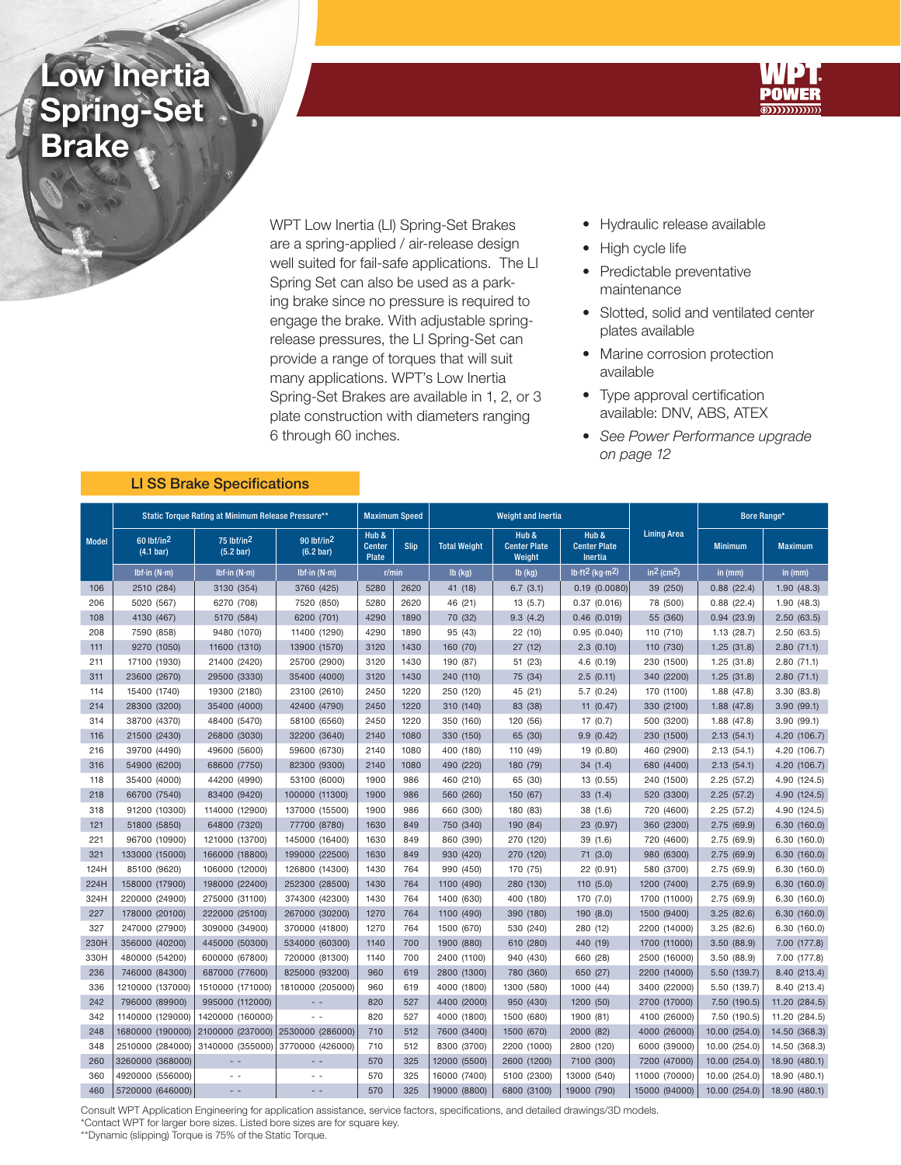## Low Inertia Spring-Set Brake



WPT Low Inertia (LI) Spring-Set Brakes are a spring-applied / air-release design well suited for fail-safe applications. The LI Spring Set can also be used as a parking brake since no pressure is required to engage the brake. With adjustable springrelease pressures, the LI Spring-Set can provide a range of torques that will suit many applications. WPT's Low Inertia Spring-Set Brakes are available in 1, 2, or 3 plate construction with diameters ranging 6 through 60 inches.

- Hydraulic release available
- High cycle life
- Predictable preventative maintenance
- Slotted, solid and ventilated center plates available
- Marine corrosion protection available
- Type approval certification available: DNV, ABS, ATEX
- See Power Performance upgrade on page 12

| <b>Model</b> | Static Torque Rating at Minimum Release Pressure** |                         |                                                                                 |                                                       | <b>Maximum Speed</b> |                     | <b>Weight and Inertia</b>              |                                                |                          | Bore Range*    |                |
|--------------|----------------------------------------------------|-------------------------|---------------------------------------------------------------------------------|-------------------------------------------------------|----------------------|---------------------|----------------------------------------|------------------------------------------------|--------------------------|----------------|----------------|
|              | $60$ lbf/in <sup>2</sup><br>(4.1 bar)              | 75 lbf/in2<br>(5.2 bar) | $90$ lbf/in <sup>2</sup><br>(6.2 <sub>bar</sub> )                               | Hub &<br><b>Center</b><br><b>Slip</b><br><b>Plate</b> |                      | <b>Total Weight</b> | Hub &<br><b>Center Plate</b><br>Weight | Hub &<br><b>Center Plate</b><br><b>Inertia</b> | <b>Lining Area</b>       | <b>Minimum</b> | <b>Maximum</b> |
|              | Ibf-in $(N \cdot m)$                               | Ibf-in $(N \cdot m)$    | Ibf-in $(N \cdot m)$                                                            | r/min                                                 |                      | $Ib$ (kg)           | $Ib$ (kg)                              | lb·ft <sup>2</sup> (kg·m <sup>2</sup> )        | $in2$ (cm <sup>2</sup> ) | in $(mm)$      | in (mm)        |
| 106          | 2510 (284)                                         | 3130 (354)              | 3760 (425)                                                                      | 5280                                                  | 2620                 | 41 (18)             | 6.7(3.1)                               | 0.19(0.0080)                                   | 39 (250)                 | 0.88(22.4)     | 1.90(48.3)     |
| 206          | 5020 (567)                                         | 6270 (708)              | 7520 (850)                                                                      | 5280                                                  | 2620                 | 46 (21)             | 13(5.7)                                | 0.37(0.016)                                    | 78 (500)                 | 0.88(22.4)     | 1.90(48.3)     |
| 108          | 4130 (467)                                         | 5170 (584)              | 6200 (701)                                                                      | 4290                                                  | 1890                 | 70 (32)             | 9.3(4.2)                               | 0.46(0.019)                                    | 55 (360)                 | 0.94(23.9)     | 2.50(63.5)     |
| 208          | 7590 (858)                                         | 9480 (1070)             | 11400 (1290)                                                                    | 4290                                                  | 1890                 | 95 (43)             | 22(10)                                 | 0.95(0.040)                                    | 110 (710)                | 1.13(28.7)     | 2.50(63.5)     |
| 111          | 9270 (1050)                                        | 11600 (1310)            | 13900 (1570)                                                                    | 3120                                                  | 1430                 | 160 (70)            | 27(12)                                 | 2.3(0.10)                                      | 110 (730)                | 1.25(31.8)     | 2.80(71.1)     |
| 211          | 17100 (1930)                                       | 21400 (2420)            | 25700 (2900)                                                                    | 3120                                                  | 1430                 | 190 (87)            | 51 (23)                                | 4.6 (0.19)                                     | 230 (1500)               | 1.25(31.8)     | 2.80(71.1)     |
| 311          | 23600 (2670)                                       | 29500 (3330)            | 35400 (4000)                                                                    | 3120                                                  | 1430                 | 240 (110)           | 75 (34)                                | 2.5(0.11)                                      | 340 (2200)               | 1.25(31.8)     | 2.80(71.1)     |
| 114          | 15400 (1740)                                       | 19300 (2180)            | 23100 (2610)                                                                    | 2450                                                  | 1220                 | 250 (120)           | 45 (21)                                | 5.7(0.24)                                      | 170 (1100)               | 1.88 (47.8)    | 3.30 (83.8)    |
| 214          | 28300 (3200)                                       | 35400 (4000)            | 42400 (4790)                                                                    | 2450                                                  | 1220                 | 310 (140)           | 83 (38)                                | 11 $(0.47)$                                    | 330 (2100)               | 1.88(47.8)     | 3.90(99.1)     |
| 314          | 38700 (4370)                                       | 48400 (5470)            | 58100 (6560)                                                                    | 2450                                                  | 1220                 | 350 (160)           | 120 (56)                               | 17(0.7)                                        | 500 (3200)               | 1.88 (47.8)    | 3.90(99.1)     |
| 116          | 21500 (2430)                                       | 26800 (3030)            | 32200 (3640)                                                                    | 2140                                                  | 1080                 | 330 (150)           | 65 (30)                                | 9.9(0.42)                                      | 230 (1500)               | 2.13(54.1)     | 4.20 (106.7)   |
| 216          | 39700 (4490)                                       | 49600 (5600)            | 59600 (6730)                                                                    | 2140                                                  | 1080                 | 400 (180)           | 110 (49)                               | 19 (0.80)                                      | 460 (2900)               | 2.13(54.1)     | 4.20 (106.7)   |
| 316          | 54900 (6200)                                       | 68600 (7750)            | 82300 (9300)                                                                    | 2140                                                  | 1080                 | 490 (220)           | 180 (79)                               | 34(1.4)                                        | 680 (4400)               | 2.13(54.1)     | 4.20 (106.7)   |
| 118          | 35400 (4000)                                       | 44200 (4990)            | 53100 (6000)                                                                    | 1900                                                  | 986                  | 460 (210)           | 65 (30)                                | 13 (0.55)                                      | 240 (1500)               | 2.25(57.2)     | 4.90 (124.5)   |
| 218          | 66700 (7540)                                       | 83400 (9420)            | 100000 (11300)                                                                  | 1900                                                  | 986                  | 560 (260)           | 150 (67)                               | 33(1.4)                                        | 520 (3300)               | 2.25(57.2)     | 4.90 (124.5)   |
| 318          | 91200 (10300)                                      | 114000 (12900)          | 137000 (15500)                                                                  | 1900                                                  | 986                  | 660 (300)           | 180 (83)                               | 38 (1.6)                                       | 720 (4600)               | 2.25 (57.2)    | 4.90 (124.5)   |
| 121          | 51800 (5850)                                       | 64800 (7320)            | 77700 (8780)                                                                    | 1630                                                  | 849                  | 750 (340)           | 190 (84)                               | 23 (0.97)                                      | 360 (2300)               | 2.75(69.9)     | 6.30(160.0)    |
| 221          | 96700 (10900)                                      | 121000 (13700)          | 145000 (16400)                                                                  | 1630                                                  | 849                  | 860 (390)           | 270 (120)                              | 39 (1.6)                                       | 720 (4600)               | 2.75 (69.9)    | 6.30 (160.0)   |
| 321          | 133000 (15000)                                     | 166000 (18800)          | 199000 (22500)                                                                  | 1630                                                  | 849                  | 930 (420)           | 270 (120)                              | 71(3.0)                                        | 980 (6300)               | 2.75 (69.9)    | 6.30(160.0)    |
| 124H         | 85100 (9620)                                       | 106000 (12000)          | 126800 (14300)                                                                  | 1430                                                  | 764                  | 990 (450)           | 170 (75)                               | 22 (0.91)                                      | 580 (3700)               | 2.75 (69.9)    | 6.30(160.0)    |
| 224H         | 158000 (17900)                                     | 198000 (22400)          | 252300 (28500)                                                                  | 1430                                                  | 764                  | 1100 (490)          | 280 (130)                              | 110 (5.0)                                      | 1200 (7400)              | 2.75 (69.9)    | 6.30(160.0)    |
| 324H         | 220000 (24900)                                     | 275000 (31100)          | 374300 (42300)                                                                  | 1430                                                  | 764                  | 1400 (630)          | 400 (180)                              | 170 (7.0)                                      | 1700 (11000)             | 2.75 (69.9)    | 6.30(160.0)    |
| 227          | 178000 (20100)                                     | 222000 (25100)          | 267000 (30200)                                                                  | 1270                                                  | 764                  | 1100 (490)          | 390 (180)                              | 190 (8.0)                                      | 1500 (9400)              | 3.25(82.6)     | 6.30(160.0)    |
| 327          | 247000 (27900)                                     | 309000 (34900)          | 370000 (41800)                                                                  | 1270                                                  | 764                  | 1500 (670)          | 530 (240)                              | 280 (12)                                       | 2200 (14000)             | 3.25(82.6)     | 6.30(160.0)    |
| 230H         | 356000 (40200)                                     | 445000 (50300)          | 534000 (60300)                                                                  | 1140                                                  | 700                  | 1900 (880)          | 610 (280)                              | 440 (19)                                       | 1700 (11000)             | 3.50(88.9)     | 7.00 (177.8)   |
| 330H         | 480000 (54200)                                     | 600000 (67800)          | 720000 (81300)                                                                  | 1140                                                  | 700                  | 2400 (1100)         | 940 (430)                              | 660 (28)                                       | 2500 (16000)             | 3.50(88.9)     | 7.00 (177.8)   |
| 236          | 746000 (84300)                                     | 687000 (77600)          | 825000 (93200)                                                                  | 960                                                   | 619                  | 2800 (1300)         | 780 (360)                              | 650 (27)                                       | 2200 (14000)             | 5.50 (139.7)   | 8.40 (213.4)   |
| 336          | 1210000 (137000)                                   | 1510000 (171000)        | 1810000 (205000)                                                                | 960                                                   | 619                  | 4000 (1800)         | 1300 (580)                             | 1000 (44)                                      | 3400 (22000)             | 5.50 (139.7)   | 8.40 (213.4)   |
| 242          | 796000 (89900)                                     | 995000 (112000)         | $\frac{1}{2} \left( \frac{1}{2} \right) \frac{1}{2} \left( \frac{1}{2} \right)$ | 820                                                   | 527                  | 4400 (2000)         | 950 (430)                              | 1200 (50)                                      | 2700 (17000)             | 7.50 (190.5)   | 11.20 (284.5)  |
| 342          | 1140000 (129000)                                   | 1420000 (160000)        |                                                                                 | 820                                                   | 527                  | 4000 (1800)         | 1500 (680)                             | 1900 (81)                                      | 4100 (26000)             | 7.50 (190.5)   | 11.20 (284.5)  |
| 248          | 1680000 (190000)                                   | 2100000 (237000)        | 2530000 (286000)                                                                | 710                                                   | 512                  | 7600 (3400)         | 1500 (670)                             | 2000 (82)                                      | 4000 (26000)             | 10.00 (254.0)  | 14.50 (368.3)  |
| 348          | 2510000 (284000)                                   | 3140000 (355000)        | 3770000 (426000)                                                                | 710                                                   | 512                  | 8300 (3700)         | 2200 (1000)                            | 2800 (120)                                     | 6000 (39000)             | 10.00 (254.0)  | 14.50 (368.3)  |
| 260          | 3260000 (368000)                                   | $-$                     | $ -$                                                                            | 570                                                   | 325                  | 12000 (5500)        | 2600 (1200)                            | 7100 (300)                                     | 7200 (47000)             | 10.00 (254.0)  | 18.90 (480.1)  |
| 360          | 4920000 (556000)                                   | $\sim$ $\sim$           | $ -$                                                                            | 570                                                   | 325                  | 16000 (7400)        | 5100 (2300)                            | 13000 (540)                                    | 11000 (70000)            | 10.00 (254.0)  | 18.90 (480.1)  |
| 460          | 5720000 (646000)                                   | $ -$                    | $ -$                                                                            | 570                                                   | 325                  | 19000 (8800)        | 6800 (3100)                            | 19000 (790)                                    | 15000 (94000)            | 10.00 (254.0)  | 18.90 (480.1)  |

## LI SS Brake Specifications

Consult WPT Application Engineering for application assistance, service factors, specifications, and detailed drawings/3D models.

\*Contact WPT for larger bore sizes. Listed bore sizes are for square key.

\*\*Dynamic (slipping) Torque is 75% of the Static Torque.